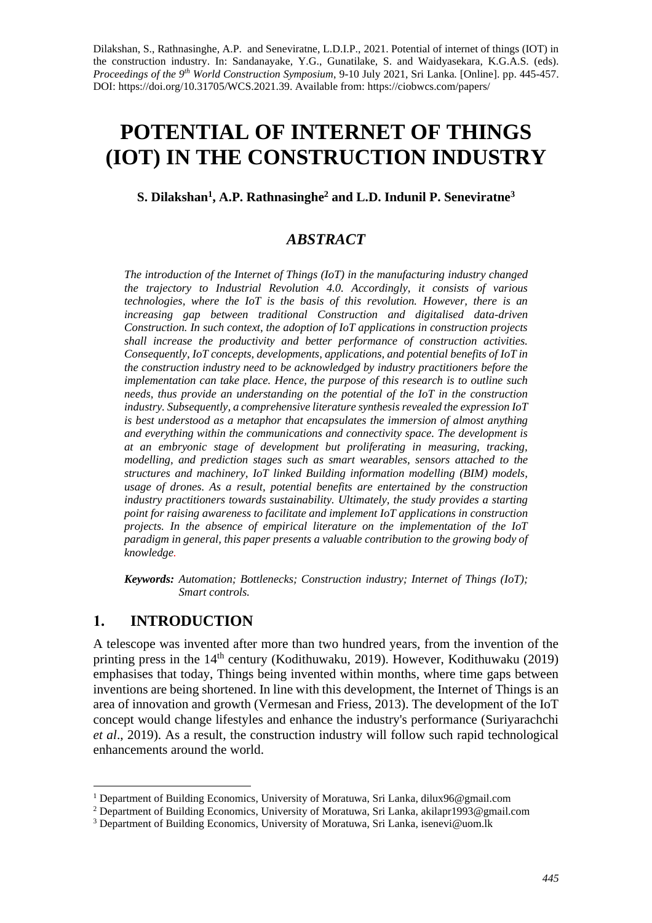Dilakshan, S., Rathnasinghe, A.P. and Seneviratne, L.D.I.P., 2021. Potential of internet of things (IOT) in the construction industry. In: Sandanayake, Y.G., Gunatilake, S. and Waidyasekara, K.G.A.S. (eds). *Proceedings of the 9th World Construction Symposium*, 9-10 July 2021, Sri Lanka. [Online]. pp. 445-457. DOI: https://doi.org/10.31705/WCS.2021.39. Available from: https://ciobwcs.com/papers/

# **POTENTIAL OF INTERNET OF THINGS (IOT) IN THE CONSTRUCTION INDUSTRY**

#### **S. Dilakshan<sup>1</sup> , A.P. Rathnasinghe<sup>2</sup> and L.D. Indunil P. Seneviratne<sup>3</sup>**

## *ABSTRACT*

*The introduction of the Internet of Things (IoT) in the manufacturing industry changed the trajectory to Industrial Revolution 4.0. Accordingly, it consists of various technologies, where the IoT is the basis of this revolution. However, there is an increasing gap between traditional Construction and digitalised data-driven Construction. In such context, the adoption of IoT applications in construction projects shall increase the productivity and better performance of construction activities. Consequently, IoT concepts, developments, applications, and potential benefits of IoT in the construction industry need to be acknowledged by industry practitioners before the implementation can take place. Hence, the purpose of this research is to outline such needs, thus provide an understanding on the potential of the IoT in the construction industry. Subsequently, a comprehensive literature synthesis revealed the expression IoT is best understood as a metaphor that encapsulates the immersion of almost anything and everything within the communications and connectivity space. The development is at an embryonic stage of development but proliferating in measuring, tracking, modelling, and prediction stages such as smart wearables, sensors attached to the structures and machinery, IoT linked Building information modelling (BIM) models, usage of drones. As a result, potential benefits are entertained by the construction industry practitioners towards sustainability. Ultimately, the study provides a starting point for raising awareness to facilitate and implement IoT applications in construction projects. In the absence of empirical literature on the implementation of the IoT paradigm in general, this paper presents a valuable contribution to the growing body of knowledge.*

*Keywords: Automation; Bottlenecks; Construction industry; Internet of Things (IoT); Smart controls.*

#### **1. INTRODUCTION**

A telescope was invented after more than two hundred years, from the invention of the printing press in the 14<sup>th</sup> century (Kodithuwaku, 2019). However, Kodithuwaku (2019) emphasises that today, Things being invented within months, where time gaps between inventions are being shortened. In line with this development, the Internet of Things is an area of innovation and growth (Vermesan and Friess, 2013). The development of the IoT concept would change lifestyles and enhance the industry's performance (Suriyarachchi *et al*., 2019). As a result, the construction industry will follow such rapid technological enhancements around the world.

<sup>&</sup>lt;sup>1</sup> Department of Building Economics, University of Moratuwa, Sri Lanka, dilux96@gmail.com

<sup>2</sup> Department of Building Economics, University of Moratuwa, Sri Lanka, akilapr1993@gmail.com

<sup>&</sup>lt;sup>3</sup> Department of Building Economics, University of Moratuwa, Sri Lanka, isenevi@uom.lk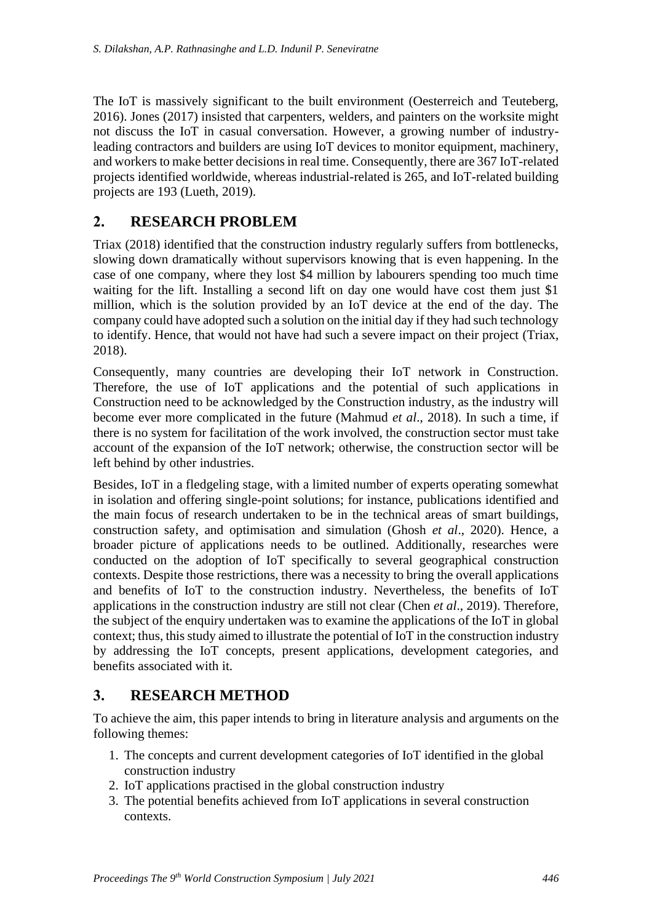The IoT is massively significant to the built environment (Oesterreich and Teuteberg, 2016). Jones (2017) insisted that carpenters, welders, and painters on the worksite might not discuss the IoT in casual conversation. However, a growing number of industryleading contractors and builders are using IoT devices to monitor equipment, machinery, and workers to make better decisions in real time. Consequently, there are 367 IoT-related projects identified worldwide, whereas industrial-related is 265, and IoT-related building projects are 193 (Lueth, 2019).

# **2. RESEARCH PROBLEM**

Triax (2018) identified that the construction industry regularly suffers from bottlenecks, slowing down dramatically without supervisors knowing that is even happening. In the case of one company, where they lost \$4 million by labourers spending too much time waiting for the lift. Installing a second lift on day one would have cost them just \$1 million, which is the solution provided by an IoT device at the end of the day. The company could have adopted such a solution on the initial day if they had such technology to identify. Hence, that would not have had such a severe impact on their project (Triax, 2018).

Consequently, many countries are developing their IoT network in Construction. Therefore, the use of IoT applications and the potential of such applications in Construction need to be acknowledged by the Construction industry, as the industry will become ever more complicated in the future (Mahmud *et al*., 2018). In such a time, if there is no system for facilitation of the work involved, the construction sector must take account of the expansion of the IoT network; otherwise, the construction sector will be left behind by other industries.

Besides, IoT in a fledgeling stage, with a limited number of experts operating somewhat in isolation and offering single-point solutions; for instance, publications identified and the main focus of research undertaken to be in the technical areas of smart buildings, construction safety, and optimisation and simulation (Ghosh *et al*., 2020). Hence, a broader picture of applications needs to be outlined. Additionally, researches were conducted on the adoption of IoT specifically to several geographical construction contexts. Despite those restrictions, there was a necessity to bring the overall applications and benefits of IoT to the construction industry. Nevertheless, the benefits of IoT applications in the construction industry are still not clear (Chen *et al*., 2019). Therefore, the subject of the enquiry undertaken was to examine the applications of the IoT in global context; thus, this study aimed to illustrate the potential of IoT in the construction industry by addressing the IoT concepts, present applications, development categories, and benefits associated with it.

# **3. RESEARCH METHOD**

To achieve the aim, this paper intends to bring in literature analysis and arguments on the following themes:

- 1. The concepts and current development categories of IoT identified in the global construction industry
- 2. IoT applications practised in the global construction industry
- 3. The potential benefits achieved from IoT applications in several construction contexts.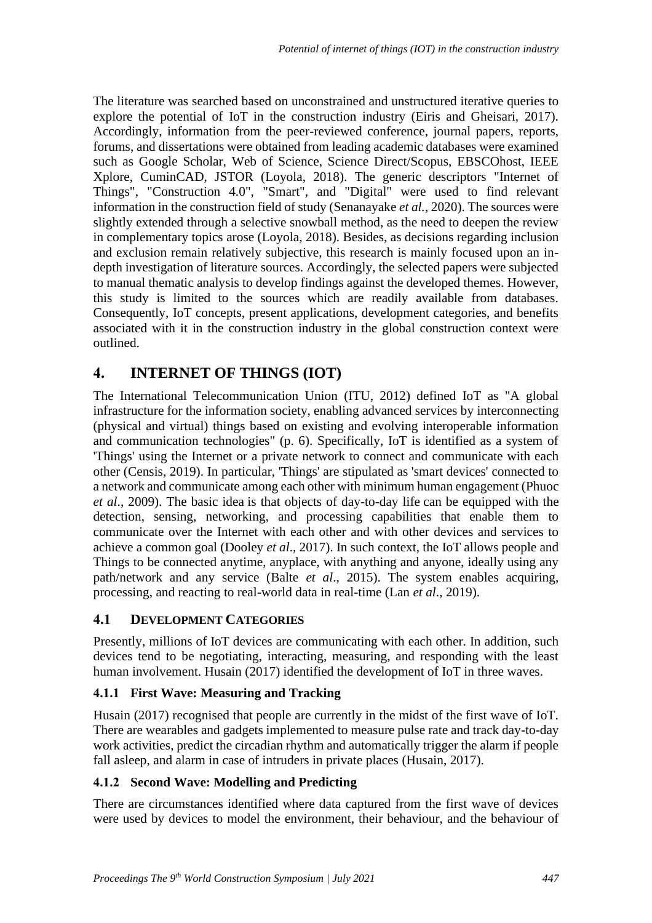The literature was searched based on unconstrained and unstructured iterative queries to explore the potential of IoT in the construction industry (Eiris and Gheisari, 2017). Accordingly, information from the peer-reviewed conference, journal papers, reports, forums, and dissertations were obtained from leading academic databases were examined such as Google Scholar, Web of Science, Science Direct/Scopus, EBSCOhost, IEEE Xplore, CuminCAD, JSTOR (Loyola, 2018). The generic descriptors "Internet of Things", "Construction 4.0", "Smart", and "Digital" were used to find relevant information in the construction field of study (Senanayake *et al.*, 2020). The sources were slightly extended through a selective snowball method, as the need to deepen the review in complementary topics arose (Loyola, 2018). Besides, as decisions regarding inclusion and exclusion remain relatively subjective, this research is mainly focused upon an indepth investigation of literature sources. Accordingly, the selected papers were subjected to manual thematic analysis to develop findings against the developed themes. However, this study is limited to the sources which are readily available from databases. Consequently, IoT concepts, present applications, development categories, and benefits associated with it in the construction industry in the global construction context were outlined.

# **4. INTERNET OF THINGS (IOT)**

The International Telecommunication Union (ITU, 2012) defined IoT as "A global infrastructure for the information society, enabling advanced services by interconnecting (physical and virtual) things based on existing and evolving interoperable information and communication technologies" (p. 6). Specifically, IoT is identified as a system of 'Things' using the Internet or a private network to connect and communicate with each other (Censis, 2019). In particular, 'Things' are stipulated as 'smart devices' connected to a network and communicate among each other with minimum human engagement (Phuoc *et al*., 2009). The basic idea is that objects of day-to-day life can be equipped with the detection, sensing, networking, and processing capabilities that enable them to communicate over the Internet with each other and with other devices and services to achieve a common goal (Dooley *et al*., 2017). In such context, the IoT allows people and Things to be connected anytime, anyplace, with anything and anyone, ideally using any path/network and any service (Balte *et al*., 2015). The system enables acquiring, processing, and reacting to real-world data in real-time (Lan *et al*., 2019).

## **4.1 DEVELOPMENT CATEGORIES**

Presently, millions of IoT devices are communicating with each other. In addition, such devices tend to be negotiating, interacting, measuring, and responding with the least human involvement. Husain (2017) identified the development of IoT in three waves.

## **4.1.1 First Wave: Measuring and Tracking**

Husain (2017) recognised that people are currently in the midst of the first wave of IoT. There are wearables and gadgets implemented to measure pulse rate and track day-to-day work activities, predict the circadian rhythm and automatically trigger the alarm if people fall asleep, and alarm in case of intruders in private places (Husain, 2017).

#### **4.1.2 Second Wave: Modelling and Predicting**

There are circumstances identified where data captured from the first wave of devices were used by devices to model the environment, their behaviour, and the behaviour of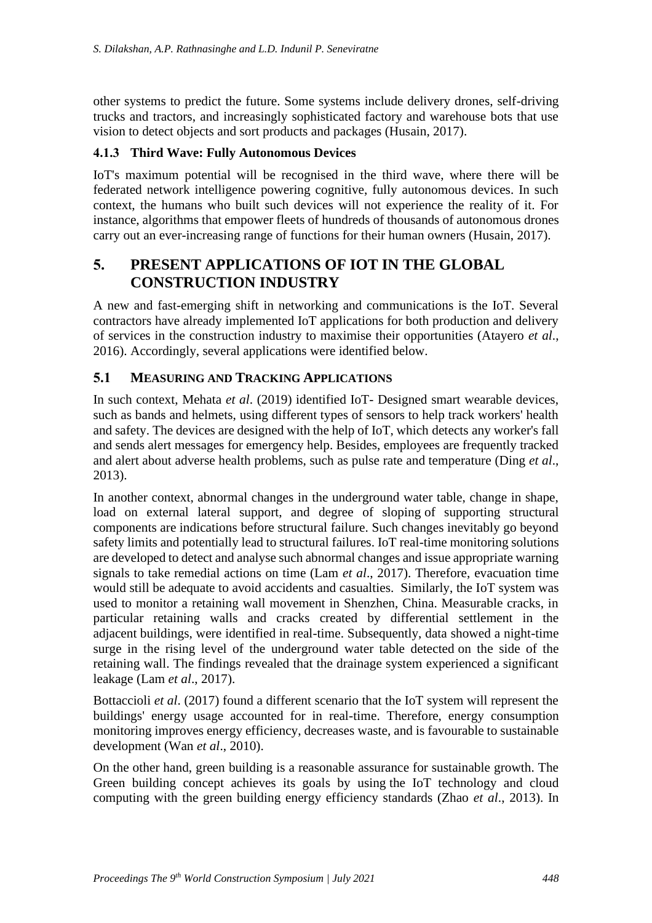other systems to predict the future. Some systems include delivery drones, self-driving trucks and tractors, and increasingly sophisticated factory and warehouse bots that use vision to detect objects and sort products and packages (Husain, 2017).

#### **4.1.3 Third Wave: Fully Autonomous Devices**

IoT's maximum potential will be recognised in the third wave, where there will be federated network intelligence powering cognitive, fully autonomous devices. In such context, the humans who built such devices will not experience the reality of it. For instance, algorithms that empower fleets of hundreds of thousands of autonomous drones carry out an ever-increasing range of functions for their human owners (Husain, 2017).

# **5. PRESENT APPLICATIONS OF IOT IN THE GLOBAL CONSTRUCTION INDUSTRY**

A new and fast-emerging shift in networking and communications is the IoT. Several contractors have already implemented IoT applications for both production and delivery of services in the construction industry to maximise their opportunities (Atayero *et al*., 2016). Accordingly, several applications were identified below.

#### **5.1 MEASURING AND TRACKING APPLICATIONS**

In such context, Mehata *et al*. (2019) identified IoT- Designed smart wearable devices, such as bands and helmets, using different types of sensors to help track workers' health and safety. The devices are designed with the help of IoT, which detects any worker's fall and sends alert messages for emergency help. Besides, employees are frequently tracked and alert about adverse health problems, such as pulse rate and temperature (Ding *et al*., 2013).

In another context, abnormal changes in the underground water table, change in shape, load on external lateral support, and degree of sloping of supporting structural components are indications before structural failure. Such changes inevitably go beyond safety limits and potentially lead to structural failures. IoT real-time monitoring solutions are developed to detect and analyse such abnormal changes and issue appropriate warning signals to take remedial actions on time (Lam *et al*., 2017). Therefore, evacuation time would still be adequate to avoid accidents and casualties. Similarly, the IoT system was used to monitor a retaining wall movement in Shenzhen, China. Measurable cracks, in particular retaining walls and cracks created by differential settlement in the adjacent [buildings](https://www.google.com/search?q=adjacent+building&spell=1&sa=X&ved=2ahUKEwjr9frd5JLqAhWOb30KHVVfDT4QkeECKAB6BAgOECQ), were identified in real-time. Subsequently, data showed a night-time surge in the rising level of the underground water table detected on the side of the retaining wall. The findings revealed that the drainage system experienced a significant leakage (Lam *et al*., 2017).

Bottaccioli *et al*. (2017) found a different scenario that the IoT system will represent the buildings' energy usage accounted for in real-time. Therefore, energy consumption monitoring improves energy efficiency, decreases waste, and is favourable to sustainable development (Wan *et al*., 2010).

On the other hand, green building is a reasonable assurance for sustainable growth. The Green building concept achieves its goals by using the IoT technology and cloud computing with the green building energy efficiency standards (Zhao *et al*., 2013). In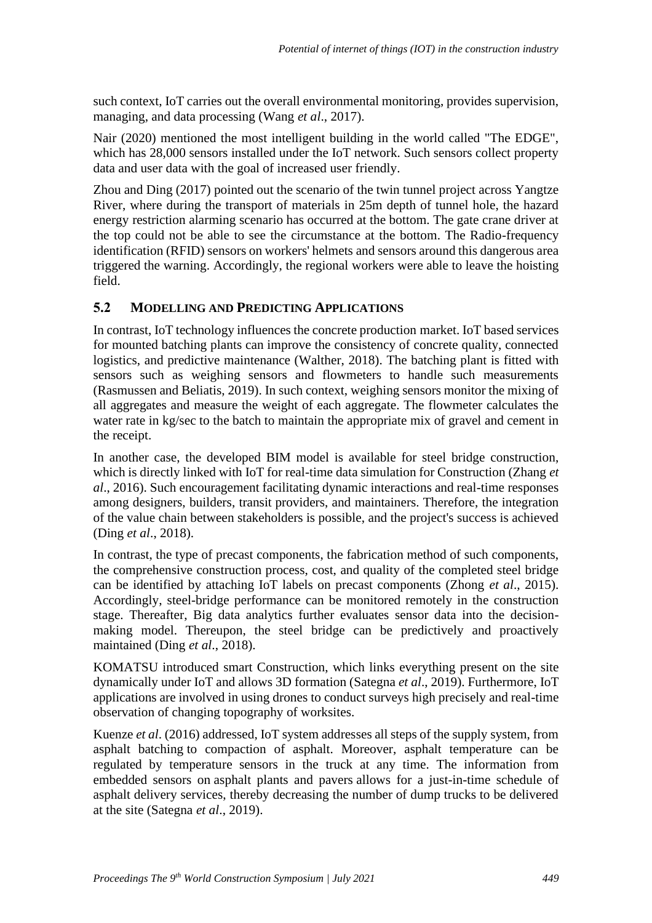such context, IoT carries out the overall environmental monitoring, provides supervision, managing, and data processing (Wang *et al*., 2017).

Nair (2020) mentioned the most intelligent building in the world called "The EDGE", which has 28,000 sensors installed under the IoT network. Such sensors collect property data and user data with the goal of increased user friendly.

Zhou and Ding (2017) pointed out the scenario of the twin tunnel project across Yangtze River, where during the transport of materials in 25m depth of tunnel hole, the hazard energy restriction alarming scenario has occurred at the bottom. The gate crane driver at the top could not be able to see the circumstance at the bottom. The Radio-frequency identification (RFID) sensors on workers' helmets and sensors around this dangerous area triggered the warning. Accordingly, the regional workers were able to leave the hoisting field.

#### **5.2 MODELLING AND PREDICTING APPLICATIONS**

In contrast, IoT technology influences the concrete production market. IoT based services for mounted batching plants can improve the consistency of concrete quality, connected logistics, and predictive maintenance (Walther, 2018). The batching plant is fitted with sensors such as weighing sensors and flowmeters to handle such measurements (Rasmussen and Beliatis, 2019). In such context, weighing sensors monitor the mixing of all aggregates and measure the weight of each aggregate. The flowmeter calculates the water rate in kg/sec to the batch to maintain the appropriate mix of gravel and cement in the receipt.

In another case, the developed BIM model is available for steel bridge construction, which is directly linked with IoT for real-time data simulation for Construction (Zhang *et al*., 2016). Such encouragement facilitating dynamic interactions and real-time responses among designers, builders, transit providers, and maintainers. Therefore, the integration of the value chain between stakeholders is possible, and the project's success is achieved (Ding *et al*., 2018).

In contrast, the type of precast components, the fabrication method of such components, the comprehensive construction process, cost, and quality of the completed steel bridge can be identified by attaching IoT labels on precast components (Zhong *et al*., 2015). Accordingly, steel-bridge performance can be monitored remotely in the construction stage. Thereafter, Big data analytics further evaluates sensor data into the decisionmaking model. Thereupon, the steel bridge can be predictively and proactively maintained (Ding *et al*., 2018).

KOMATSU introduced smart Construction, which links everything present on the site dynamically under IoT and allows 3D formation (Sategna *et al*., 2019). Furthermore, IoT applications are involved in using drones to conduct surveys high precisely and real-time observation of changing topography of worksites.

Kuenze *et al*. (2016) addressed, IoT system addresses all steps of the supply system, from asphalt batching to compaction of asphalt. Moreover, asphalt temperature can be regulated by temperature sensors in the truck at any time. The information from embedded sensors on asphalt plants and pavers allows for a just-in-time schedule of asphalt delivery services, thereby decreasing the number of dump trucks to be delivered at the site (Sategna *et al*., 2019).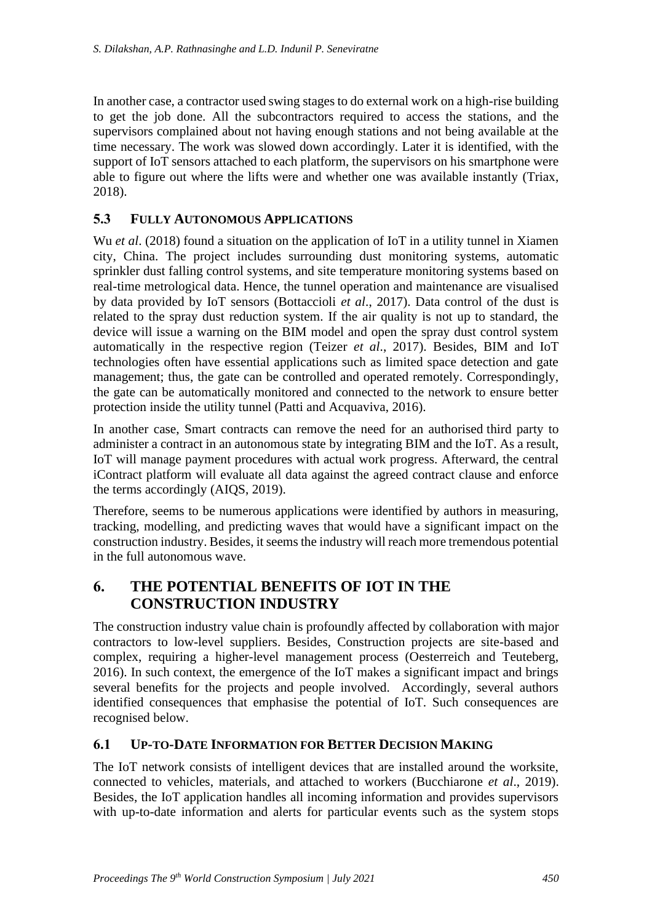In another case, a contractor used swing stages to do external work on a high-rise building to get the job done. All the subcontractors required to access the stations, and the supervisors complained about not having enough stations and not being available at the time necessary. The work was slowed down accordingly. Later it is identified, with the support of IoT sensors attached to each platform, the supervisors on his smartphone were able to figure out where the lifts were and whether one was available instantly (Triax, 2018).

#### **5.3 FULLY AUTONOMOUS APPLICATIONS**

Wu *et al.* (2018) found a situation on the application of IoT in a utility tunnel in Xiamen city, China. The project includes surrounding dust monitoring systems, automatic sprinkler dust falling control systems, and site temperature monitoring systems based on real-time metrological data. Hence, the tunnel operation and maintenance are visualised by data provided by IoT sensors (Bottaccioli *et al*., 2017). Data control of the dust is related to the spray dust reduction system. If the air quality is not up to standard, the device will issue a warning on the BIM model and open the spray dust control system automatically in the respective region (Teizer *et al*., 2017). Besides, BIM and IoT technologies often have essential applications such as limited space detection and gate management; thus, the gate can be controlled and operated remotely. Correspondingly, the gate can be automatically monitored and connected to the network to ensure better protection inside the utility tunnel (Patti and Acquaviva, 2016).

In another case, Smart contracts can remove the need for an authorised third party to administer a contract in an autonomous state by integrating BIM and the IoT. As a result, IoT will manage payment procedures with actual work progress. Afterward, the central iContract platform will evaluate all data against the agreed contract clause and enforce the terms accordingly (AIQS, 2019).

Therefore, seems to be numerous applications were identified by authors in measuring, tracking, modelling, and predicting waves that would have a significant impact on the construction industry. Besides, it seems the industry will reach more tremendous potential in the full autonomous wave.

# **6. THE POTENTIAL BENEFITS OF IOT IN THE CONSTRUCTION INDUSTRY**

The construction industry value chain is profoundly affected by collaboration with major contractors to low-level suppliers. Besides, Construction projects are site-based and complex, requiring a higher-level management process (Oesterreich and Teuteberg, 2016). In such context, the emergence of the IoT makes a significant impact and brings several benefits for the projects and people involved. Accordingly, several authors identified consequences that emphasise the potential of IoT. Such consequences are recognised below.

## **6.1 UP-TO-DATE INFORMATION FOR BETTER DECISION MAKING**

The IoT network consists of intelligent devices that are installed around the worksite, connected to vehicles, materials, and attached to workers (Bucchiarone *et al*., 2019). Besides, the IoT application handles all incoming information and provides supervisors with up-to-date information and alerts for particular events such as the system stops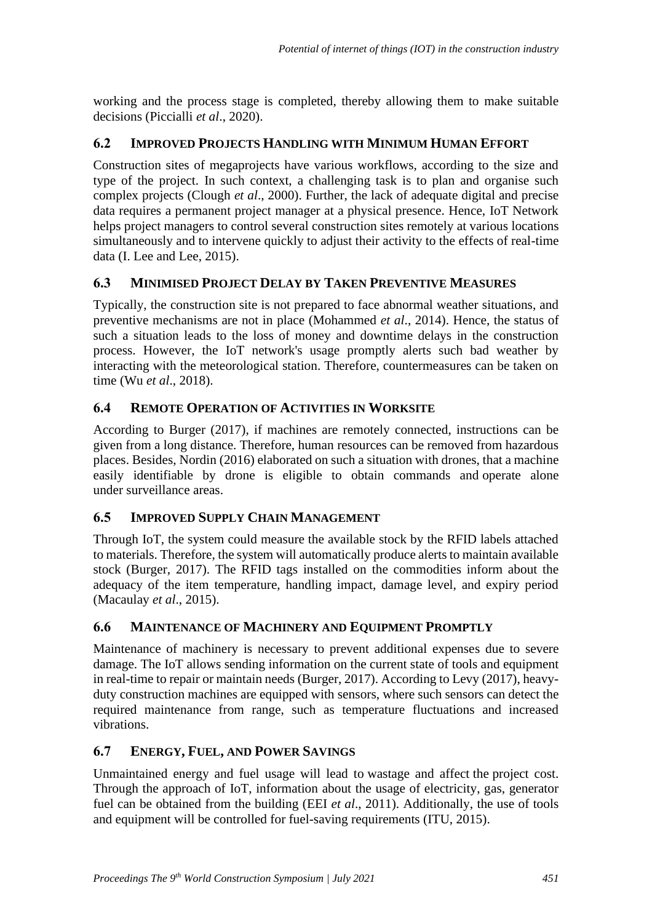working and the process stage is completed, thereby allowing them to make suitable decisions (Piccialli *et al*., 2020).

# **6.2 IMPROVED PROJECTS HANDLING WITH MINIMUM HUMAN EFFORT**

Construction sites of megaprojects have various workflows, according to the size and type of the project. In such context, a challenging task is to plan and organise such complex projects (Clough *et al*., 2000). Further, the lack of adequate digital and precise data requires a permanent project manager at a physical presence. Hence, IoT Network helps project managers to control several construction sites remotely at various locations simultaneously and to intervene quickly to adjust their activity to the effects of real-time data (I. Lee and Lee, 2015).

# **6.3 MINIMISED PROJECT DELAY BY TAKEN PREVENTIVE MEASURES**

Typically, the construction site is not prepared to face abnormal weather situations, and preventive mechanisms are not in place (Mohammed *et al*., 2014). Hence, the status of such a situation leads to the loss of money and downtime delays in the construction process. However, the IoT network's usage promptly alerts such bad weather by interacting with the meteorological station. Therefore, countermeasures can be taken on time (Wu *et al*., 2018).

## **6.4 REMOTE OPERATION OF ACTIVITIES IN WORKSITE**

According to Burger (2017), if machines are remotely connected, instructions can be given from a long distance. Therefore, human resources can be removed from hazardous places. Besides, Nordin (2016) elaborated on such a situation with drones, that a machine easily identifiable by drone is eligible to obtain commands and operate alone under surveillance areas.

## **6.5 IMPROVED SUPPLY CHAIN MANAGEMENT**

Through IoT, the system could measure the available stock by the RFID labels attached to materials. Therefore, the system will automatically produce alerts to maintain available stock (Burger, 2017). The RFID tags installed on the commodities inform about the adequacy of the item temperature, handling impact, damage level, and expiry period (Macaulay *et al*., 2015).

## **6.6 MAINTENANCE OF MACHINERY AND EQUIPMENT PROMPTLY**

Maintenance of machinery is necessary to prevent additional expenses due to severe damage. The IoT allows sending information on the current state of tools and equipment in real-time to repair or maintain needs (Burger, 2017). According to Levy (2017), heavyduty construction machines are equipped with sensors, where such sensors can detect the required maintenance from range, such as temperature fluctuations and increased vibrations.

## **6.7 ENERGY, FUEL, AND POWER SAVINGS**

Unmaintained energy and fuel usage will lead to wastage and affect the project cost. Through the approach of IoT, information about the usage of electricity, gas, generator fuel can be obtained from the building (EEI *et al*., 2011). Additionally, the use of tools and equipment will be controlled for fuel-saving requirements (ITU, 2015).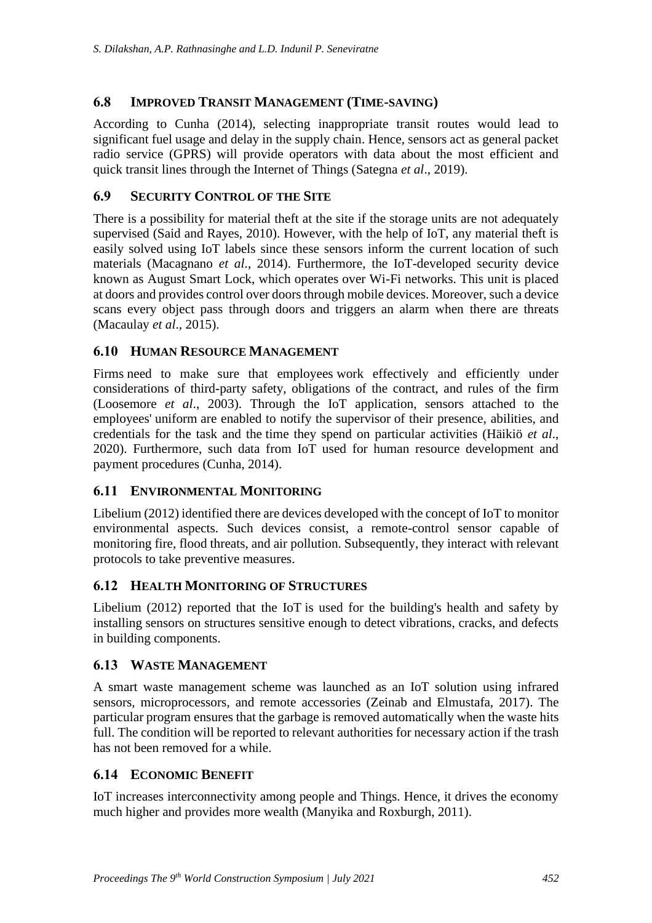#### **6.8 IMPROVED TRANSIT MANAGEMENT (TIME-SAVING)**

According to Cunha (2014), selecting inappropriate transit routes would lead to significant fuel usage and delay in the supply chain. Hence, sensors act as general packet radio service (GPRS) will provide operators with data about the most efficient and quick transit lines through the Internet of Things (Sategna *et al*., 2019).

#### **6.9 SECURITY CONTROL OF THE SITE**

There is a possibility for material theft at the site if the storage units are not adequately supervised (Said and Rayes, 2010). However, with the help of IoT, any material theft is easily solved using IoT labels since these sensors inform the current location of such materials (Macagnano *et al*., 2014). Furthermore, the IoT-developed security device known as August Smart Lock, which operates over Wi-Fi networks. This unit is placed at doors and provides control over doors through mobile devices. Moreover, such a device scans every object pass through doors and triggers an alarm when there are threats (Macaulay *et al*., 2015).

#### **6.10 HUMAN RESOURCE MANAGEMENT**

Firms need to make sure that employees work effectively and efficiently under considerations of third-party safety, obligations of the contract, and rules of the firm (Loosemore *et al*., 2003). Through the IoT application, sensors attached to the employees' uniform are enabled to notify the supervisor of their presence, abilities, and credentials for the task and the time they spend on particular activities (Häikiö *et al*., 2020). Furthermore, such data from IoT used for human resource development and payment procedures (Cunha, 2014).

## **6.11 ENVIRONMENTAL MONITORING**

Libelium (2012) identified there are devices developed with the concept of IoT to monitor environmental aspects. Such devices consist, a remote-control sensor capable of monitoring fire, flood threats, and air pollution. Subsequently, they interact with relevant protocols to take preventive measures.

#### **6.12 HEALTH MONITORING OF STRUCTURES**

Libelium (2012) reported that the IoT is used for the building's health and safety by installing sensors on structures sensitive enough to detect vibrations, cracks, and defects in building components.

#### **6.13 WASTE MANAGEMENT**

A smart waste management scheme was launched as an IoT solution using infrared sensors, microprocessors, and remote accessories (Zeinab and Elmustafa, 2017). The particular program ensures that the garbage is removed automatically when the waste hits full. The condition will be reported to relevant authorities for necessary action if the trash has not been removed for a while.

## **6.14 ECONOMIC BENEFIT**

IoT increases interconnectivity among people and Things. Hence, it drives the economy much higher and provides more wealth (Manyika and Roxburgh, 2011).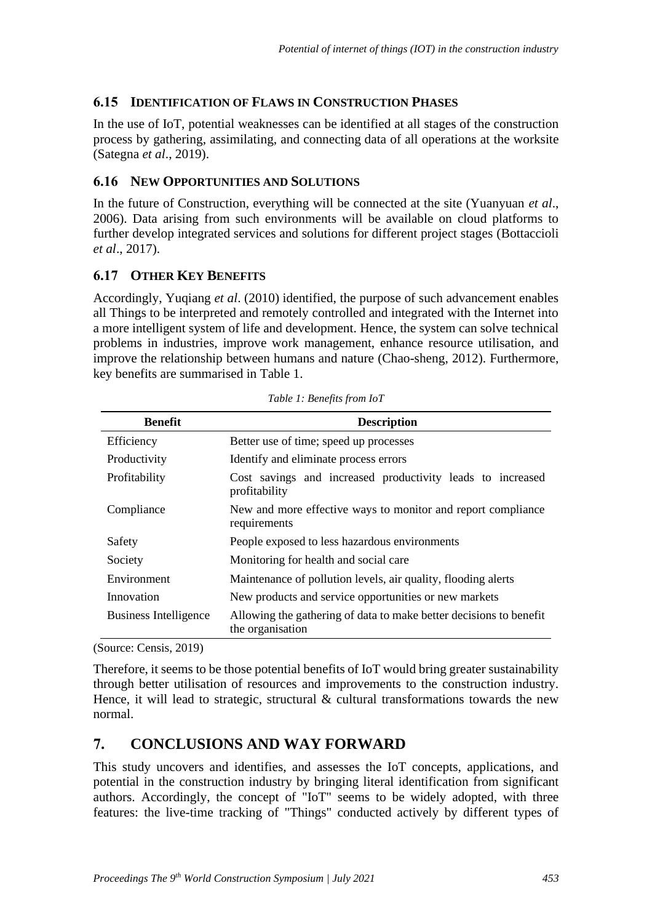## **6.15 IDENTIFICATION OF FLAWS IN CONSTRUCTION PHASES**

In the use of IoT, potential weaknesses can be identified at all stages of the construction process by gathering, assimilating, and connecting data of all operations at the worksite (Sategna *et al*., 2019).

#### **6.16 NEW OPPORTUNITIES AND SOLUTIONS**

In the future of Construction, everything will be connected at the site (Yuanyuan *et al*., 2006). Data arising from such environments will be available on cloud platforms to further develop integrated services and solutions for different project stages (Bottaccioli *et al*., 2017).

## **6.17 OTHER KEY BENEFITS**

Accordingly, Yuqiang *et al*. (2010) identified, the purpose of such advancement enables all Things to be interpreted and remotely controlled and integrated with the Internet into a more intelligent system of life and development. Hence, the system can solve technical problems in industries, improve work management, enhance resource utilisation, and improve the relationship between humans and nature (Chao-sheng, 2012). Furthermore, key benefits are summarised in Table 1.

| <b>Benefit</b>               | <b>Description</b>                                                                     |  |  |  |
|------------------------------|----------------------------------------------------------------------------------------|--|--|--|
| Efficiency                   | Better use of time; speed up processes                                                 |  |  |  |
| Productivity                 | Identify and eliminate process errors                                                  |  |  |  |
| Profitability                | Cost savings and increased productivity leads to increased<br>profitability            |  |  |  |
| Compliance                   | New and more effective ways to monitor and report compliance<br>requirements           |  |  |  |
| Safety                       | People exposed to less hazardous environments                                          |  |  |  |
| Society                      | Monitoring for health and social care.                                                 |  |  |  |
| Environment                  | Maintenance of pollution levels, air quality, flooding alerts                          |  |  |  |
| Innovation                   | New products and service opportunities or new markets                                  |  |  |  |
| <b>Business Intelligence</b> | Allowing the gathering of data to make better decisions to benefit<br>the organisation |  |  |  |

|  |  |  | Table 1: Benefits from IoT |  |  |
|--|--|--|----------------------------|--|--|
|--|--|--|----------------------------|--|--|

(Source: Censis, 2019)

Therefore, it seems to be those potential benefits of IoT would bring greater sustainability through better utilisation of resources and improvements to the construction industry. Hence, it will lead to strategic, structural  $\&$  cultural transformations towards the new normal.

# **7. CONCLUSIONS AND WAY FORWARD**

This study uncovers and identifies, and assesses the IoT concepts, applications, and potential in the construction industry by bringing literal identification from significant authors. Accordingly, the concept of "IoT" seems to be widely adopted, with three features: the live-time tracking of "Things" conducted actively by different types of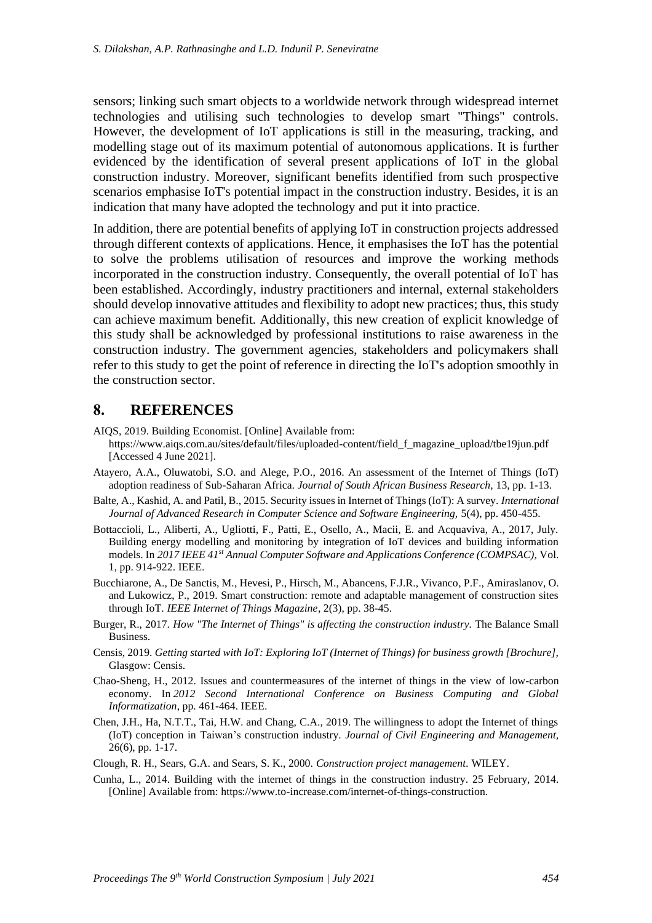sensors; linking such smart objects to a worldwide network through widespread internet technologies and utilising such technologies to develop smart "Things" controls. However, the development of IoT applications is still in the measuring, tracking, and modelling stage out of its maximum potential of autonomous applications. It is further evidenced by the identification of several present applications of IoT in the global construction industry. Moreover, significant benefits identified from such prospective scenarios emphasise IoT's potential impact in the construction industry. Besides, it is an indication that many have adopted the technology and put it into practice.

In addition, there are potential benefits of applying IoT in construction projects addressed through different contexts of applications. Hence, it emphasises the IoT has the potential to solve the problems utilisation of resources and improve the working methods incorporated in the construction industry. Consequently, the overall potential of IoT has been established. Accordingly, industry practitioners and internal, external stakeholders should develop innovative attitudes and flexibility to adopt new practices; thus, this study can achieve maximum benefit. Additionally, this new creation of explicit knowledge of this study shall be acknowledged by professional institutions to raise awareness in the construction industry. The government agencies, stakeholders and policymakers shall refer to this study to get the point of reference in directing the IoT's adoption smoothly in the construction sector.

## **8. REFERENCES**

AIQS, 2019. Building Economist. [Online] Available from:

- https://www.aiqs.com.au/sites/default/files/uploaded-content/field\_f\_magazine\_upload/tbe19jun.pdf [Accessed 4 June 2021].
- Atayero, A.A., Oluwatobi, S.O. and Alege, P.O., 2016. An assessment of the Internet of Things (IoT) adoption readiness of Sub-Saharan Africa. *Journal of South African Business Research,* 13*,* pp. 1-13.
- Balte, A., Kashid, A. and Patil, B., 2015. Security issues in Internet of Things (IoT): A survey. *International Journal of Advanced Research in Computer Science and Software Engineering,* 5(4), pp. 450-455.
- Bottaccioli, L., Aliberti, A., Ugliotti, F., Patti, E., Osello, A., Macii, E. and Acquaviva, A., 2017, July. Building energy modelling and monitoring by integration of IoT devices and building information models. In *2017 IEEE 41st Annual Computer Software and Applications Conference (COMPSAC),* Vol. 1, pp. 914-922. IEEE.
- Bucchiarone, A., De Sanctis, M., Hevesi, P., Hirsch, M., Abancens, F.J.R., Vivanco, P.F., Amiraslanov, O. and Lukowicz, P., 2019. Smart construction: remote and adaptable management of construction sites through IoT. *IEEE Internet of Things Magazine*, 2(3), pp. 38-45.
- Burger, R., 2017. *How "The Internet of Things" is affecting the construction industry.* The Balance Small Business.
- Censis, 2019. *Getting started with IoT: Exploring IoT (Internet of Things) for business growth [Brochure],*  Glasgow: Censis.
- Chao-Sheng, H., 2012. Issues and countermeasures of the internet of things in the view of low-carbon economy. In *2012 Second International Conference on Business Computing and Global Informatization*, pp. 461-464. IEEE.
- Chen, J.H., Ha, N.T.T., Tai, H.W. and Chang, C.A., 2019. The willingness to adopt the Internet of things (IoT) conception in Taiwan's construction industry. *Journal of Civil Engineering and Management,*  26(6), pp. 1-17.
- Clough, R. H., Sears, G.A. and Sears, S. K., 2000. *Construction project management.* WILEY.
- Cunha, L., 2014. Building with the internet of things in the construction industry. 25 February, 2014. [Online] Available from: https://www.to-increase.com/internet-of-things-construction.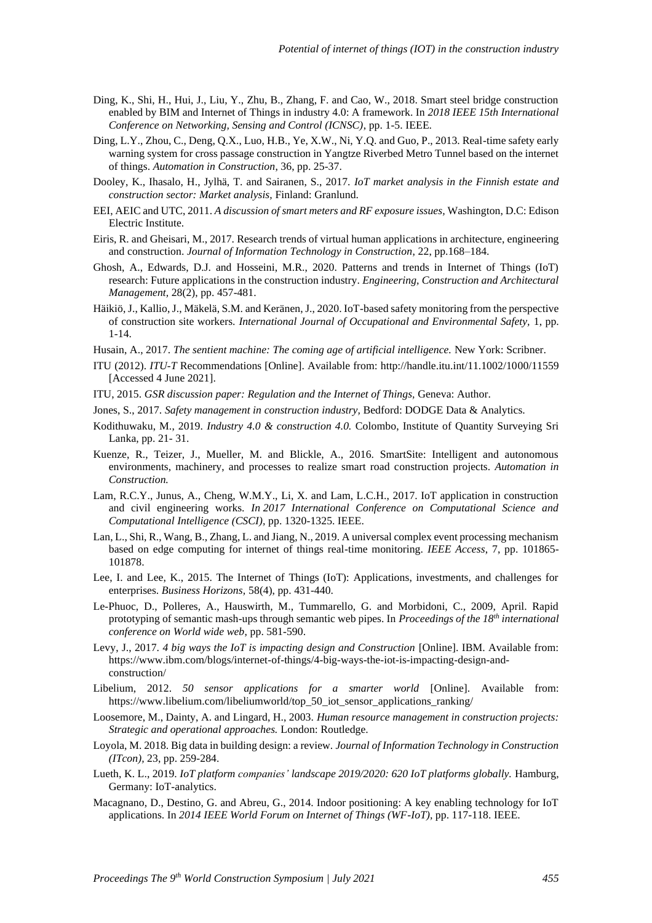- Ding, K., Shi, H., Hui, J., Liu, Y., Zhu, B., Zhang, F. and Cao, W., 2018. Smart steel bridge construction enabled by BIM and Internet of Things in industry 4.0: A framework. In *2018 IEEE 15th International Conference on Networking, Sensing and Control (ICNSC)*, pp. 1-5. IEEE.
- Ding, L.Y., Zhou, C., Deng, Q.X., Luo, H.B., Ye, X.W., Ni, Y.Q. and Guo, P., 2013. Real-time safety early warning system for cross passage construction in Yangtze Riverbed Metro Tunnel based on the internet of things. *Automation in Construction*, 36, pp. 25-37.
- Dooley, K., Ihasalo, H., Jylhä, T. and Sairanen, S., 2017. *IoT market analysis in the Finnish estate and construction sector: Market analysis,* Finland: Granlund.
- EEI, AEIC and UTC, 2011. *A discussion of smart meters and RF exposure issues,* Washington, D.C: Edison Electric Institute.
- Eiris, R. and Gheisari, M., 2017. Research trends of virtual human applications in architecture, engineering and construction. *Journal of Information Technology in Construction*, 22, pp.168–184.
- Ghosh, A., Edwards, D.J. and Hosseini, M.R., 2020. Patterns and trends in Internet of Things (IoT) research: Future applications in the construction industry. *Engineering, Construction and Architectural Management,* 28(2), pp. 457-481.
- Häikiö, J., Kallio, J., Mäkelä, S.M. and Keränen, J., 2020. IoT-based safety monitoring from the perspective of construction site workers. *International Journal of Occupational and Environmental Safety,* 1, pp. 1-14.
- Husain, A., 2017. *The sentient machine: The coming age of artificial intelligence.* New York: Scribner.
- ITU (2012). *ITU-T* Recommendations [Online]. Available from: http://handle.itu.int/11.1002/1000/11559 [Accessed 4 June 2021].
- ITU, 2015. *GSR discussion paper: Regulation and the Internet of Things,* Geneva: Author.
- Jones, S., 2017. *Safety management in construction industry,* Bedford: DODGE Data & Analytics.
- Kodithuwaku, M., 2019. *Industry 4.0 & construction 4.0.* Colombo, Institute of Quantity Surveying Sri Lanka, pp. 21- 31.
- Kuenze, R., Teizer, J., Mueller, M. and Blickle, A., 2016. SmartSite: Intelligent and autonomous environments, machinery, and processes to realize smart road construction projects. *Automation in Construction.*
- Lam, R.C.Y., Junus, A., Cheng, W.M.Y., Li, X. and Lam, L.C.H., 2017. IoT application in construction and civil engineering works. *In 2017 International Conference on Computational Science and Computational Intelligence (CSCI),* pp. 1320-1325. IEEE.
- Lan, L., Shi, R., Wang, B., Zhang, L. and Jiang, N., 2019. A universal complex event processing mechanism based on edge computing for internet of things real-time monitoring. *IEEE Access*, 7, pp. 101865- 101878.
- Lee, I. and Lee, K., 2015. The Internet of Things (IoT): Applications, investments, and challenges for enterprises. *Business Horizons,* 58(4), pp. 431-440.
- Le-Phuoc, D., Polleres, A., Hauswirth, M., Tummarello, G. and Morbidoni, C., 2009, April. Rapid prototyping of semantic mash-ups through semantic web pipes. In *Proceedings of the 18th international conference on World wide web*, pp. 581-590.
- Levy, J., 2017. *4 big ways the IoT is impacting design and Construction* [Online]. IBM. Available from: https://www.ibm.com/blogs/internet-of-things/4-big-ways-the-iot-is-impacting-design-andconstruction/
- Libelium, 2012. *50 sensor applications for a smarter world* [Online]. Available from: https://www.libelium.com/libeliumworld/top\_50\_iot\_sensor\_applications\_ranking/
- Loosemore, M., Dainty, A. and Lingard, H., 2003. *Human resource management in construction projects: Strategic and operational approaches.* London: Routledge.
- Loyola, M. 2018. Big data in building design: a review. *Journal of Information Technology in Construction (ITcon),* 23, pp. 259-284.
- Lueth, K. L., 2019. *IoT platform companies' landscape 2019/2020: 620 IoT platforms globally.* Hamburg, Germany: IoT-analytics.
- Macagnano, D., Destino, G. and Abreu, G., 2014. Indoor positioning: A key enabling technology for IoT applications. In *2014 IEEE World Forum on Internet of Things (WF-IoT),* pp. 117-118. IEEE.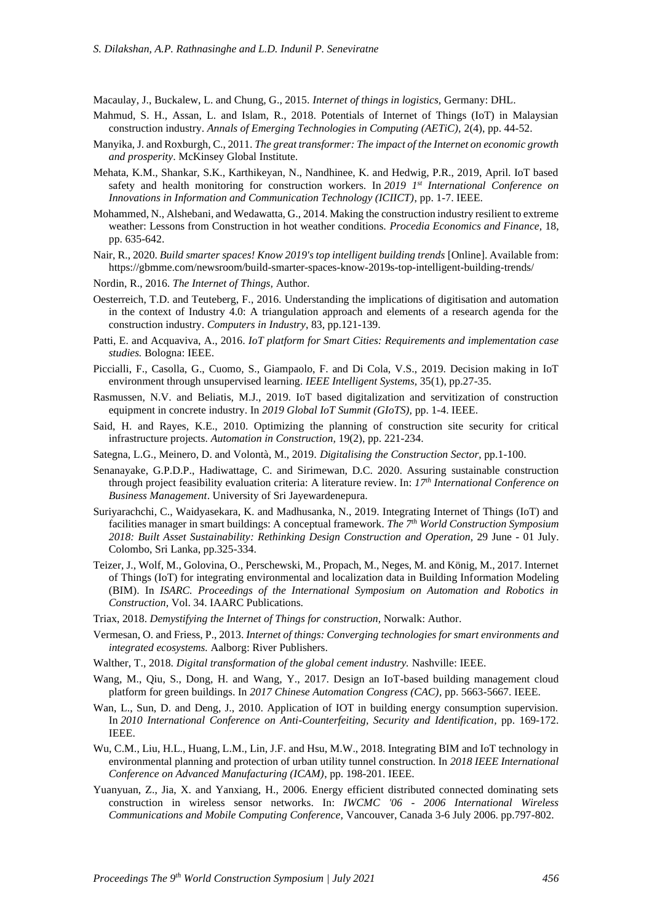Macaulay, J., Buckalew, L. and Chung, G., 2015. *Internet of things in logistics,* Germany: DHL.

- Mahmud, S. H., Assan, L. and Islam, R., 2018. Potentials of Internet of Things (IoT) in Malaysian construction industry. *Annals of Emerging Technologies in Computing (AETiC),* 2(4), pp. 44-52.
- Manyika, J. and Roxburgh, C., 2011. *The great transformer: The impact of the Internet on economic growth and prosperity*. McKinsey Global Institute.
- Mehata, K.M., Shankar, S.K., Karthikeyan, N., Nandhinee, K. and Hedwig, P.R., 2019, April. IoT based safety and health monitoring for construction workers. In *2019 1st International Conference on Innovations in Information and Communication Technology (ICIICT)*, pp. 1-7. IEEE.
- Mohammed, N., Alshebani, and Wedawatta, G., 2014. Making the construction industry resilient to extreme weather: Lessons from Construction in hot weather conditions. *Procedia Economics and Finance,* 18, pp. 635-642.
- Nair, R., 2020. *Build smarter spaces! Know 2019's top intelligent building trends* [Online]. Available from: https://gbmme.com/newsroom/build-smarter-spaces-know-2019s-top-intelligent-building-trends/
- Nordin, R., 2016. *The Internet of Things,* Author.
- Oesterreich, T.D. and Teuteberg, F., 2016. Understanding the implications of digitisation and automation in the context of Industry 4.0: A triangulation approach and elements of a research agenda for the construction industry. *Computers in Industry*, 83, pp.121-139.
- Patti, E. and Acquaviva, A., 2016. *IoT platform for Smart Cities: Requirements and implementation case studies.* Bologna: IEEE.
- Piccialli, F., Casolla, G., Cuomo, S., Giampaolo, F. and Di Cola, V.S., 2019. Decision making in IoT environment through unsupervised learning. *IEEE Intelligent Systems,* 35(1), pp.27-35.
- Rasmussen, N.V. and Beliatis, M.J., 2019. IoT based digitalization and servitization of construction equipment in concrete industry. In *2019 Global IoT Summit (GIoTS),* pp. 1-4. IEEE.
- Said, H. and Rayes, K.E., 2010. Optimizing the planning of construction site security for critical infrastructure projects. *Automation in Construction,* 19(2), pp. 221-234.
- Sategna, L.G., Meinero, D. and Volontà, M., 2019. *Digitalising the Construction Sector,* pp.1-100.
- Senanayake, G.P.D.P., Hadiwattage, C. and Sirimewan, D.C. 2020. Assuring sustainable construction through project feasibility evaluation criteria: A literature review. In: *17th International Conference on Business Management*. University of Sri Jayewardenepura.
- Suriyarachchi, C., Waidyasekara, K. and Madhusanka, N., 2019. Integrating Internet of Things (IoT) and facilities manager in smart buildings: A conceptual framework*. The 7th World Construction Symposium 2018: Built Asset Sustainability: Rethinking Design Construction and Operation,* 29 June - 01 July. Colombo, Sri Lanka, pp.325-334.
- Teizer, J., Wolf, M., Golovina, O., Perschewski, M., Propach, M., Neges, M. and König, M., 2017. Internet of Things (IoT) for integrating environmental and localization data in Building Information Modeling (BIM). In *ISARC. Proceedings of the International Symposium on Automation and Robotics in Construction,* Vol. 34. IAARC Publications.
- Triax, 2018. *Demystifying the Internet of Things for construction,* Norwalk: Author.
- Vermesan, O. and Friess, P., 2013. *Internet of things: Converging technologies for smart environments and integrated ecosystems.* Aalborg: River Publishers.
- Walther, T., 2018. *Digital transformation of the global cement industry.* Nashville: IEEE.
- Wang, M., Qiu, S., Dong, H. and Wang, Y., 2017. Design an IoT-based building management cloud platform for green buildings. In *2017 Chinese Automation Congress (CAC),* pp. 5663-5667. IEEE.
- Wan, L., Sun, D. and Deng, J., 2010. Application of IOT in building energy consumption supervision. In 2010 International Conference on Anti-Counterfeiting, Security and Identification, pp. 169-172. IEEE.
- Wu, C.M., Liu, H.L., Huang, L.M., Lin, J.F. and Hsu, M.W., 2018. Integrating BIM and IoT technology in environmental planning and protection of urban utility tunnel construction. In *2018 IEEE International Conference on Advanced Manufacturing (ICAM)*, pp. 198-201. IEEE.
- Yuanyuan, Z., Jia, X. and Yanxiang, H., 2006. Energy efficient distributed connected dominating sets construction in wireless sensor networks. In: *IWCMC '06 - 2006 International Wireless Communications and Mobile Computing Conference,* Vancouver, Canada 3-6 July 2006. pp.797-802.